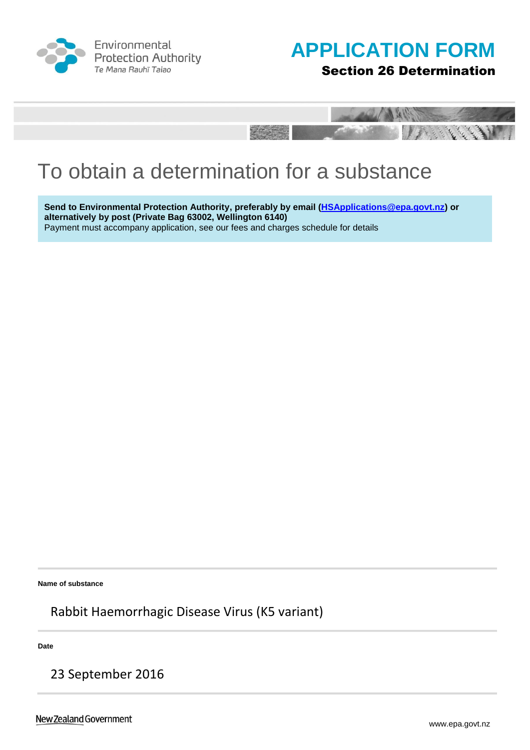

Environmental **Protection Authority** Te Mana Rauhī Tajao





# To obtain a determination for a substance

Send to Environmental Protection Authority, preferably by email (HSApplications@epa.govt.nz) or alternatively by post (Private Bag 63002, Wellington 6140) Payment must accompany application, see our fees and charges schedule for details

Name of substance

Rabbit Haemorrhagic Disease Virus (K5 variant)

Date

23 September 2016

New Zealand Government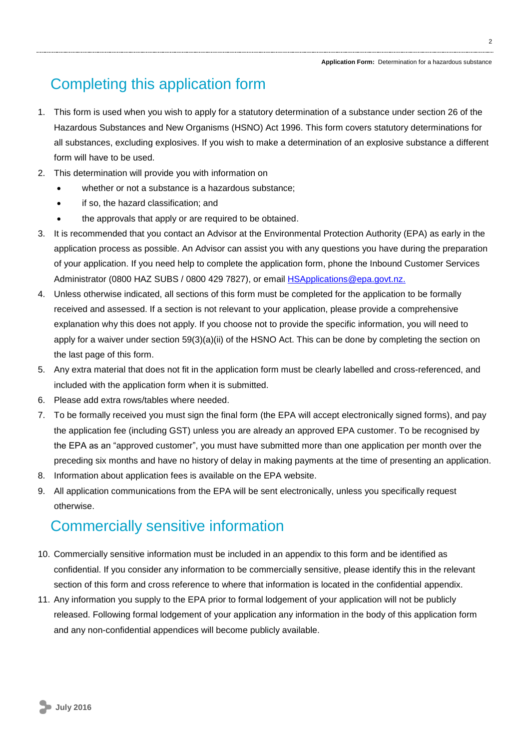# Completing this application form

- 1. This form is used when you wish to apply for a statutory determination of a substance under section 26 of the Hazardous Substances and New Organisms (HSNO) Act 1996. This form covers statutory determinations for all substances, excluding explosives. If you wish to make a determination of an explosive substance a different form will have to be used.
- 2. This determination will provide you with information on
	- whether or not a substance is a hazardous substance;
	- if so, the hazard classification: and
	- the approvals that apply or are required to be obtained.
- 3. It is recommended that you contact an Advisor at the Environmental Protection Authority (EPA) as early in the application process as possible. An Advisor can assist you with any questions you have during the preparation of your application. If you need help to complete the application form, phone the Inbound Customer Services Administrator (0800 HAZ SUBS / 0800 429 7827), or email HSApplications@epa.govt.nz.
- 4. Unless otherwise indicated, all sections of this form must be completed for the application to be formally received and assessed. If a section is not relevant to your application, please provide a comprehensive explanation why this does not apply. If you choose not to provide the specific information, you will need to apply for a waiver under section  $59(3)(a)(ii)$  of the HSNO Act. This can be done by completing the section on the last page of this form.
- 5. Any extra material that does not fit in the application form must be clearly labelled and cross-referenced, and included with the application form when it is submitted.
- 6. Please add extra rows/tables where needed.
- 7. To be formally received you must sign the final form (the EPA will accept electronically signed forms), and pay the application fee (including GST) unless you are already an approved EPA customer. To be recognised by the EPA as an "approved customer", you must have submitted more than one application per month over the preceding six months and have no history of delay in making payments at the time of presenting an application.
- 8. Information about application fees is available on the EPA website.
- 9. All application communications from the EPA will be sent electronically, unless you specifically request otherwise.

# **Commercially sensitive information**

- 10. Commercially sensitive information must be included in an appendix to this form and be identified as confidential. If you consider any information to be commercially sensitive, please identify this in the relevant section of this form and cross reference to where that information is located in the confidential appendix.
- 11. Any information you supply to the EPA prior to formal lodgement of your application will not be publicly released. Following formal lodgement of your application any information in the body of this application form and any non-confidential appendices will become publicly available.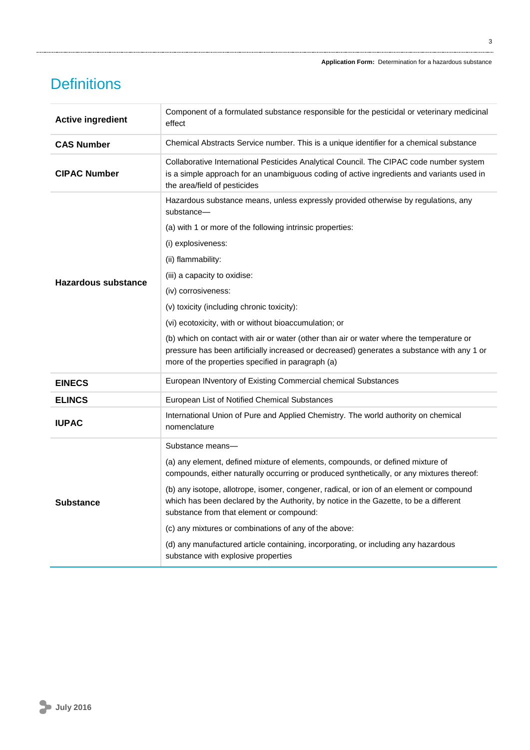# **Definitions**

| <b>Active ingredient</b>   | Component of a formulated substance responsible for the pesticidal or veterinary medicinal<br>effect                                                                                                                                        |  |
|----------------------------|---------------------------------------------------------------------------------------------------------------------------------------------------------------------------------------------------------------------------------------------|--|
| <b>CAS Number</b>          | Chemical Abstracts Service number. This is a unique identifier for a chemical substance                                                                                                                                                     |  |
| <b>CIPAC Number</b>        | Collaborative International Pesticides Analytical Council. The CIPAC code number system<br>is a simple approach for an unambiguous coding of active ingredients and variants used in<br>the area/field of pesticides                        |  |
| <b>Hazardous substance</b> | Hazardous substance means, unless expressly provided otherwise by regulations, any<br>substance-                                                                                                                                            |  |
|                            | (a) with 1 or more of the following intrinsic properties:                                                                                                                                                                                   |  |
|                            | (i) explosiveness:                                                                                                                                                                                                                          |  |
|                            | (ii) flammability:                                                                                                                                                                                                                          |  |
|                            | (iii) a capacity to oxidise:                                                                                                                                                                                                                |  |
|                            | (iv) corrosiveness:                                                                                                                                                                                                                         |  |
|                            | (v) toxicity (including chronic toxicity):                                                                                                                                                                                                  |  |
|                            | (vi) ecotoxicity, with or without bioaccumulation; or                                                                                                                                                                                       |  |
|                            | (b) which on contact with air or water (other than air or water where the temperature or<br>pressure has been artificially increased or decreased) generates a substance with any 1 or<br>more of the properties specified in paragraph (a) |  |
| <b>EINECS</b>              | European INventory of Existing Commercial chemical Substances                                                                                                                                                                               |  |
| <b>ELINCS</b>              | European List of Notified Chemical Substances                                                                                                                                                                                               |  |
| <b>IUPAC</b>               | International Union of Pure and Applied Chemistry. The world authority on chemical<br>nomenclature                                                                                                                                          |  |
| <b>Substance</b>           | Substance means-                                                                                                                                                                                                                            |  |
|                            | (a) any element, defined mixture of elements, compounds, or defined mixture of<br>compounds, either naturally occurring or produced synthetically, or any mixtures thereof:                                                                 |  |
|                            | (b) any isotope, allotrope, isomer, congener, radical, or ion of an element or compound<br>which has been declared by the Authority, by notice in the Gazette, to be a different<br>substance from that element or compound:                |  |
|                            | (c) any mixtures or combinations of any of the above:                                                                                                                                                                                       |  |
|                            | (d) any manufactured article containing, incorporating, or including any hazardous<br>substance with explosive properties                                                                                                                   |  |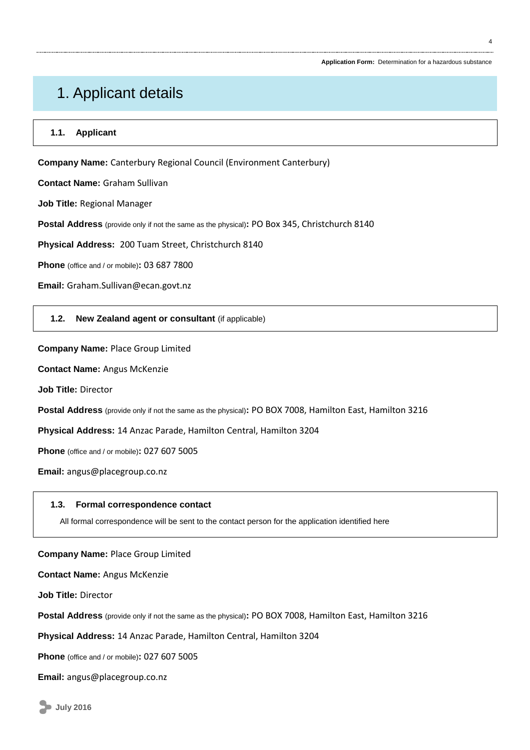# 1. Applicant details

#### $1.1.$ **Applicant**

**Company Name:** Canterbury Regional Council (Environment Canterbury)

**Contact Name: Graham Sullivan** 

Job Title: Regional Manager

Postal Address (provide only if not the same as the physical): PO Box 345, Christchurch 8140

Physical Address: 200 Tuam Street, Christchurch 8140

Phone (office and / or mobile): 03 687 7800

Email: Graham.Sullivan@ecan.govt.nz

#### $1.2.$ New Zealand agent or consultant (if applicable)

**Company Name: Place Group Limited** 

**Contact Name: Angus McKenzie** 

Job Title: Director

Postal Address (provide only if not the same as the physical): PO BOX 7008, Hamilton East, Hamilton 3216

Physical Address: 14 Anzac Parade, Hamilton Central, Hamilton 3204

Phone (office and / or mobile): 027 607 5005

Email: angus@placegroup.co.nz

#### Formal correspondence contact  $1.3.$

All formal correspondence will be sent to the contact person for the application identified here

**Company Name: Place Group Limited** 

**Contact Name: Angus McKenzie** 

Job Title: Director

Postal Address (provide only if not the same as the physical): PO BOX 7008, Hamilton East, Hamilton 3216

Physical Address: 14 Anzac Parade, Hamilton Central, Hamilton 3204

Phone (office and / or mobile): 027 607 5005

Email: angus@placegroup.co.nz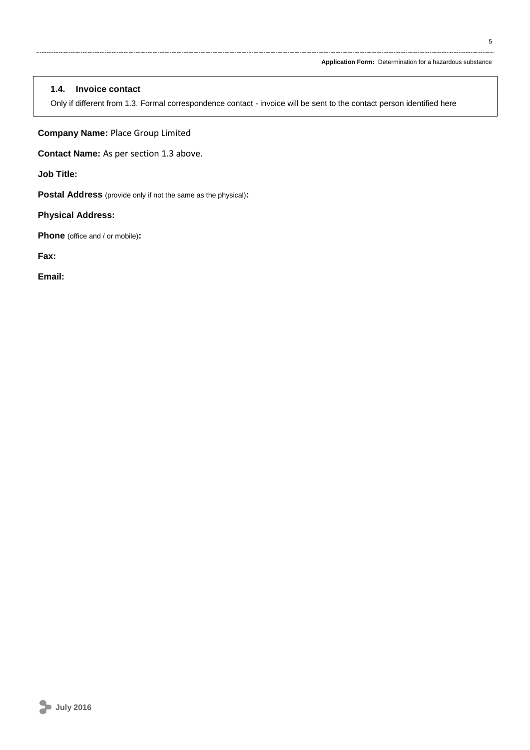## 1.4. Invoice contact

Only if different from 1.3. Formal correspondence contact - invoice will be sent to the contact person identified here

**Company Name: Place Group Limited** 

Contact Name: As per section 1.3 above.

**Job Title:** 

Postal Address (provide only if not the same as the physical):

**Physical Address:** 

Phone (office and / or mobile):

Fax:

Email:

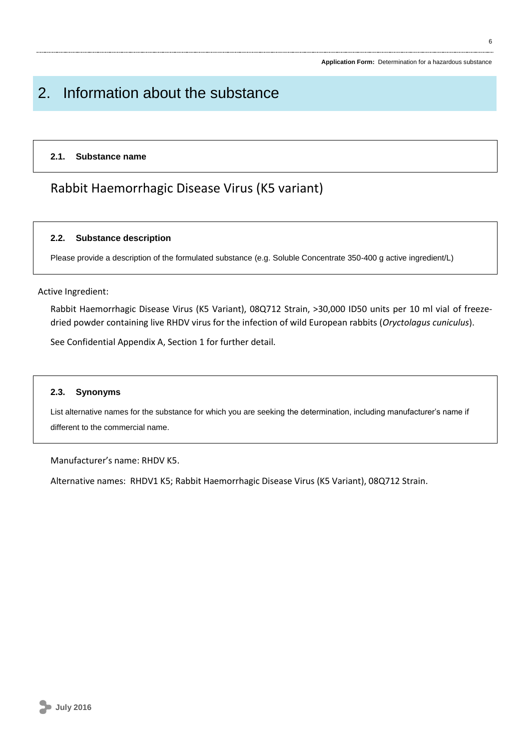### $2<sub>1</sub>$ Information about the substance

## 2.1. Substance name

## Rabbit Haemorrhagic Disease Virus (K5 variant)

#### **Substance description**  $2.2.$

Please provide a description of the formulated substance (e.g. Soluble Concentrate 350-400 g active ingredient/L)

## Active Ingredient:

Rabbit Haemorrhagic Disease Virus (K5 Variant), 08Q712 Strain, >30,000 ID50 units per 10 ml vial of freezedried powder containing live RHDV virus for the infection of wild European rabbits (Oryctolagus cuniculus).

See Confidential Appendix A, Section 1 for further detail.

#### $2.3.$ **Synonyms**

List alternative names for the substance for which you are seeking the determination, including manufacturer's name if different to the commercial name.

Manufacturer's name: RHDV K5.

Alternative names: RHDV1 K5; Rabbit Haemorrhagic Disease Virus (K5 Variant), 08Q712 Strain.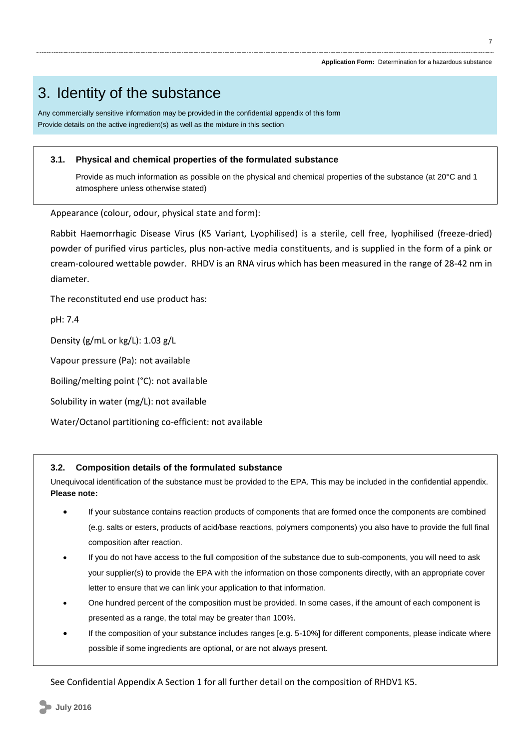# 3. Identity of the substance

Any commercially sensitive information may be provided in the confidential appendix of this form Provide details on the active ingredient(s) as well as the mixture in this section

#### $3.1.$ Physical and chemical properties of the formulated substance

Provide as much information as possible on the physical and chemical properties of the substance (at 20°C and 1 atmosphere unless otherwise stated)

Appearance (colour, odour, physical state and form):

Rabbit Haemorrhagic Disease Virus (K5 Variant, Lyophilised) is a sterile, cell free, lyophilised (freeze-dried) powder of purified virus particles, plus non-active media constituents, and is supplied in the form of a pink or cream-coloured wettable powder. RHDV is an RNA virus which has been measured in the range of 28-42 nm in diameter.

The reconstituted end use product has:

pH: 7.4

Density (g/mL or kg/L): 1.03 g/L

Vapour pressure (Pa): not available

Boiling/melting point (°C): not available

Solubility in water (mg/L): not available

Water/Octanol partitioning co-efficient: not available

#### **Composition details of the formulated substance**  $3.2.$

Unequivocal identification of the substance must be provided to the EPA. This may be included in the confidential appendix. Please note:

- If your substance contains reaction products of components that are formed once the components are combined (e.g. salts or esters, products of acid/base reactions, polymers components) you also have to provide the full final composition after reaction.
- If you do not have access to the full composition of the substance due to sub-components, you will need to ask your supplier(s) to provide the EPA with the information on those components directly, with an appropriate cover letter to ensure that we can link your application to that information.
- One hundred percent of the composition must be provided. In some cases, if the amount of each component is presented as a range, the total may be greater than 100%.
- If the composition of your substance includes ranges [e.g. 5-10%] for different components, please indicate where possible if some ingredients are optional, or are not always present.

See Confidential Appendix A Section 1 for all further detail on the composition of RHDV1 K5.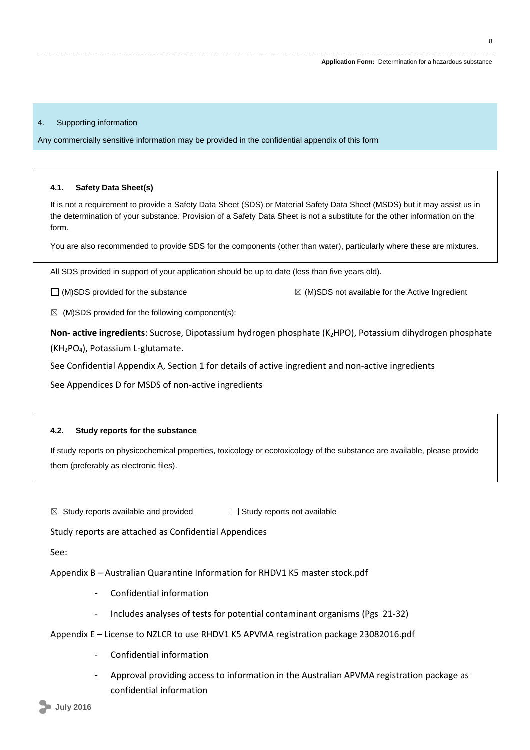#### $\overline{4}$ . Supporting information

Any commercially sensitive information may be provided in the confidential appendix of this form

#### $4.1.$ **Safety Data Sheet(s)**

It is not a requirement to provide a Safety Data Sheet (SDS) or Material Safety Data Sheet (MSDS) but it may assist us in the determination of your substance. Provision of a Safety Data Sheet is not a substitute for the other information on the form.

You are also recommended to provide SDS for the components (other than water), particularly where these are mixtures.

All SDS provided in support of your application should be up to date (less than five years old).

 $\Box$  (M)SDS provided for the substance

 $\boxtimes$  (M)SDS not available for the Active Ingredient

 $\boxtimes$  (M)SDS provided for the following component(s):

Non- active ingredients: Sucrose, Dipotassium hydrogen phosphate (K<sub>2</sub>HPO), Potassium dihydrogen phosphate (KH<sub>2</sub>PO<sub>4</sub>), Potassium L-glutamate.

See Confidential Appendix A, Section 1 for details of active ingredient and non-active ingredients

See Appendices D for MSDS of non-active ingredients

#### $4.2.$ Study reports for the substance

If study reports on physicochemical properties, toxicology or ecotoxicology of the substance are available, please provide them (preferably as electronic files).

 $\boxtimes$  Study reports available and provided Study reports not available

Study reports are attached as Confidential Appendices

See:

Appendix B - Australian Quarantine Information for RHDV1 K5 master stock.pdf

- Confidential information
- Includes analyses of tests for potential contaminant organisms (Pgs 21-32)
- Appendix E License to NZLCR to use RHDV1 K5 APVMA registration package 23082016.pdf
	- Confidential information
	- Approval providing access to information in the Australian APVMA registration package as confidential information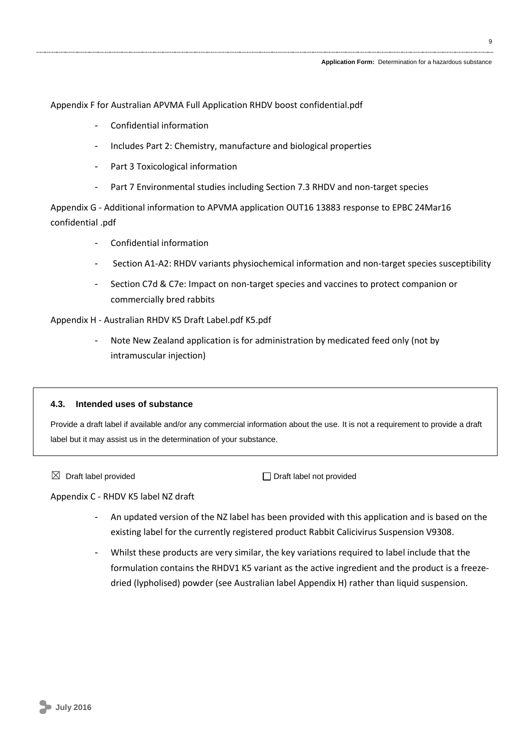Appendix F for Australian APVMA Full Application RHDV boost confidential.pdf

- Confidential information
- Includes Part 2: Chemistry, manufacture and biological properties  $\blacksquare$
- Part 3 Toxicological information  $\blacksquare$
- Part 7 Environmental studies including Section 7.3 RHDV and non-target species

Appendix G - Additional information to APVMA application OUT16 13883 response to EPBC 24Mar16 confidential .pdf

- Confidential information
- Section A1-A2: RHDV variants physiochemical information and non-target species susceptibility
- Section C7d & C7e: Impact on non-target species and vaccines to protect companion or commercially bred rabbits

Appendix H - Australian RHDV K5 Draft Label.pdf K5.pdf

Note New Zealand application is for administration by medicated feed only (not by intramuscular injection)

## 4.3. Intended uses of substance

Provide a draft label if available and/or any commercial information about the use. It is not a requirement to provide a draft label but it may assist us in the determination of your substance.

 $\boxtimes$  Draft label provided

□ Draft label not provided

Appendix C - RHDV K5 label NZ draft

- An updated version of the NZ label has been provided with this application and is based on the existing label for the currently registered product Rabbit Calicivirus Suspension V9308.
- Whilst these products are very similar, the key variations required to label include that the formulation contains the RHDV1 K5 variant as the active ingredient and the product is a freezedried (lypholised) powder (see Australian label Appendix H) rather than liquid suspension.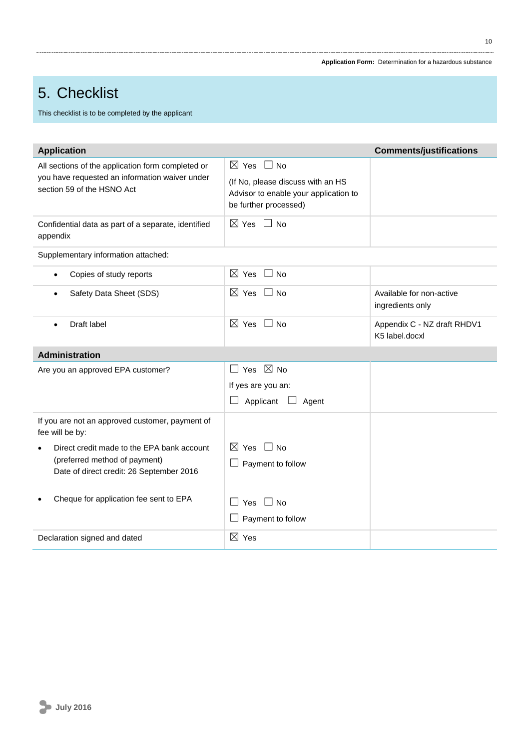$10$ 

# 5. Checklist

This checklist is to be completed by the applicant

| <b>Application</b>                                                           | <b>Comments/justifications</b>                                                                      |                                               |  |
|------------------------------------------------------------------------------|-----------------------------------------------------------------------------------------------------|-----------------------------------------------|--|
| All sections of the application form completed or                            | $\boxtimes$ Yes $\Box$ No                                                                           |                                               |  |
| you have requested an information waiver under<br>section 59 of the HSNO Act | (If No, please discuss with an HS<br>Advisor to enable your application to<br>be further processed) |                                               |  |
| Confidential data as part of a separate, identified<br>appendix              | $\boxtimes$ Yes $\Box$ No                                                                           |                                               |  |
| Supplementary information attached:                                          |                                                                                                     |                                               |  |
| Copies of study reports<br>$\bullet$                                         | $\boxtimes$ Yes $\Box$ No                                                                           |                                               |  |
| Safety Data Sheet (SDS)<br>$\bullet$                                         | $\boxtimes$ Yes<br>$\Box$ No                                                                        | Available for non-active<br>ingredients only  |  |
| Draft label                                                                  | $\boxtimes$ Yes $\Box$ No                                                                           | Appendix C - NZ draft RHDV1<br>K5 label.docxl |  |
| <b>Administration</b>                                                        |                                                                                                     |                                               |  |
| Are you an approved EPA customer?                                            | $\Box$ Yes $\boxtimes$ No                                                                           |                                               |  |
|                                                                              | If yes are you an:                                                                                  |                                               |  |
|                                                                              | Applicant<br>$\Box$ Agent<br>⊔                                                                      |                                               |  |
| If you are not an approved customer, payment of<br>fee will be by:           |                                                                                                     |                                               |  |
| Direct credit made to the EPA bank account                                   | $\boxtimes$ Yes $\Box$ No                                                                           |                                               |  |
| (preferred method of payment)<br>Date of direct credit: 26 September 2016    | ⊔<br>Payment to follow                                                                              |                                               |  |
| Cheque for application fee sent to EPA                                       | $\Box$ Yes $\Box$ No                                                                                |                                               |  |
|                                                                              | Payment to follow                                                                                   |                                               |  |
| Declaration signed and dated                                                 | $\boxtimes$ Yes                                                                                     |                                               |  |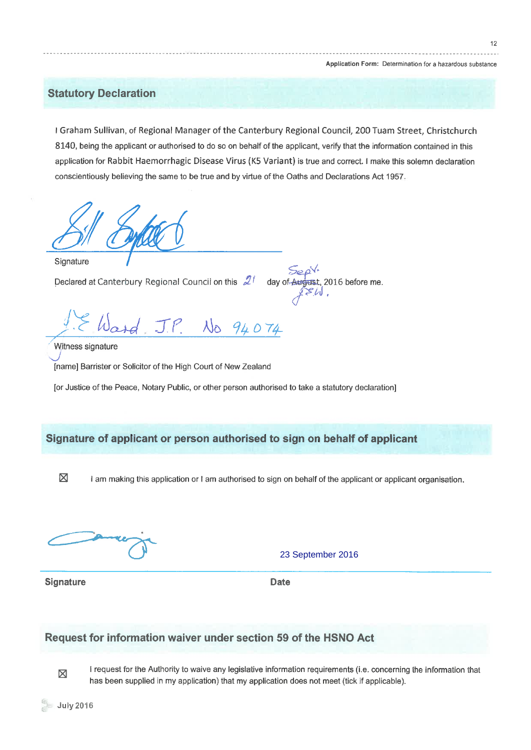## **Statutory Declaration**

I Graham Sullivan, of Regional Manager of the Canterbury Regional Council, 200 Tuam Street, Christchurch 8140, being the applicant or authorised to do so on behalf of the applicant, verify that the information contained in this application for Rabbit Haemorrhagic Disease Virus (K5 Variant) is true and correct. I make this solemn declaration conscientiously believing the same to be true and by virtue of the Oaths and Declarations Act 1957.

Signature

Declared at Canterbury Regional Council on this 21

 $\mathbb{Z}e^{\sqrt{2}}$ <br>day of August, 2016 before me.

94074

Witness signature

[name] Barrister or Solicitor of the High Court of New Zealand

[or Justice of the Peace, Notary Public, or other person authorised to take a statutory declaration]

## Signature of applicant or person authorised to sign on behalf of applicant

**X** I am making this application or I am authorised to sign on behalf of the applicant or applicant organisation.

23 September 2016

Signature

**Date** 

## Request for information waiver under section 59 of the HSNO Act

I request for the Authority to waive any legislative information requirements (i.e. concerning the information that has been supplied in my application) that my application does not meet (tick if applicable).

X